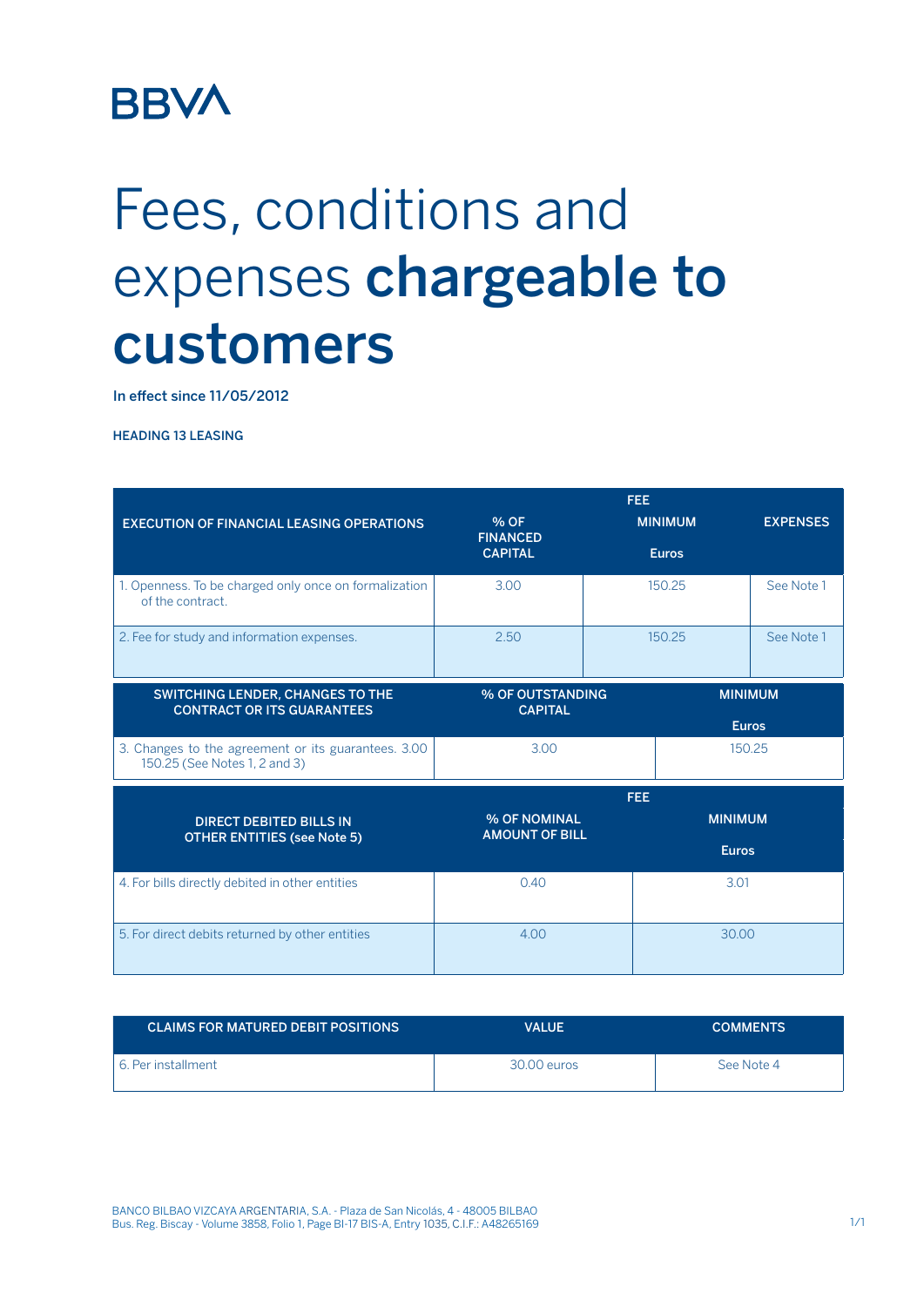## **BBVA**

## Fees, conditions and expenses chargeable to customers

In effect since 11/05/2012

HEADING 13 LEASING

|                                                                                      | <b>FEE</b>                                                                  |                |                                |                 |
|--------------------------------------------------------------------------------------|-----------------------------------------------------------------------------|----------------|--------------------------------|-----------------|
| <b>EXECUTION OF FINANCIAL LEASING OPERATIONS</b>                                     | % OF                                                                        | <b>MINIMUM</b> |                                | <b>EXPENSES</b> |
|                                                                                      | <b>FINANCED</b><br><b>CAPITAL</b>                                           |                | <b>Euros</b>                   |                 |
| 1. Openness. To be charged only once on formalization<br>of the contract.            | 3.00                                                                        |                | 150.25                         | See Note 1      |
| 2. Fee for study and information expenses.                                           | 2.50                                                                        | 150.25         |                                | See Note 1      |
| SWITCHING LENDER, CHANGES TO THE<br><b>CONTRACT OR ITS GUARANTEES</b>                | % OF OUTSTANDING<br><b>CAPITAL</b>                                          |                | <b>MINIMUM</b><br><b>Euros</b> |                 |
| 3. Changes to the agreement or its guarantees. 3.00<br>150.25 (See Notes 1, 2 and 3) | 3.00                                                                        |                | 150.25                         |                 |
|                                                                                      |                                                                             | <b>FEE</b>     |                                |                 |
| <b>DIRECT DEBITED BILLS IN</b>                                                       | % OF NOMINAL<br><b>AMOUNT OF BILL</b><br><b>OTHER ENTITIES (see Note 5)</b> |                | <b>MINIMUM</b>                 |                 |
|                                                                                      |                                                                             |                | <b>Euros</b>                   |                 |
| 4. For bills directly debited in other entities                                      | 0.40                                                                        |                | 3.01                           |                 |
| 5. For direct debits returned by other entities                                      | 4.00                                                                        |                | 30.00                          |                 |

| <b>CLAIMS FOR MATURED DEBIT POSITIONS</b> | VALUE       | <b>COMMENTS</b> |
|-------------------------------------------|-------------|-----------------|
| 6. Per installment                        | 30.00 euros | See Note 4      |